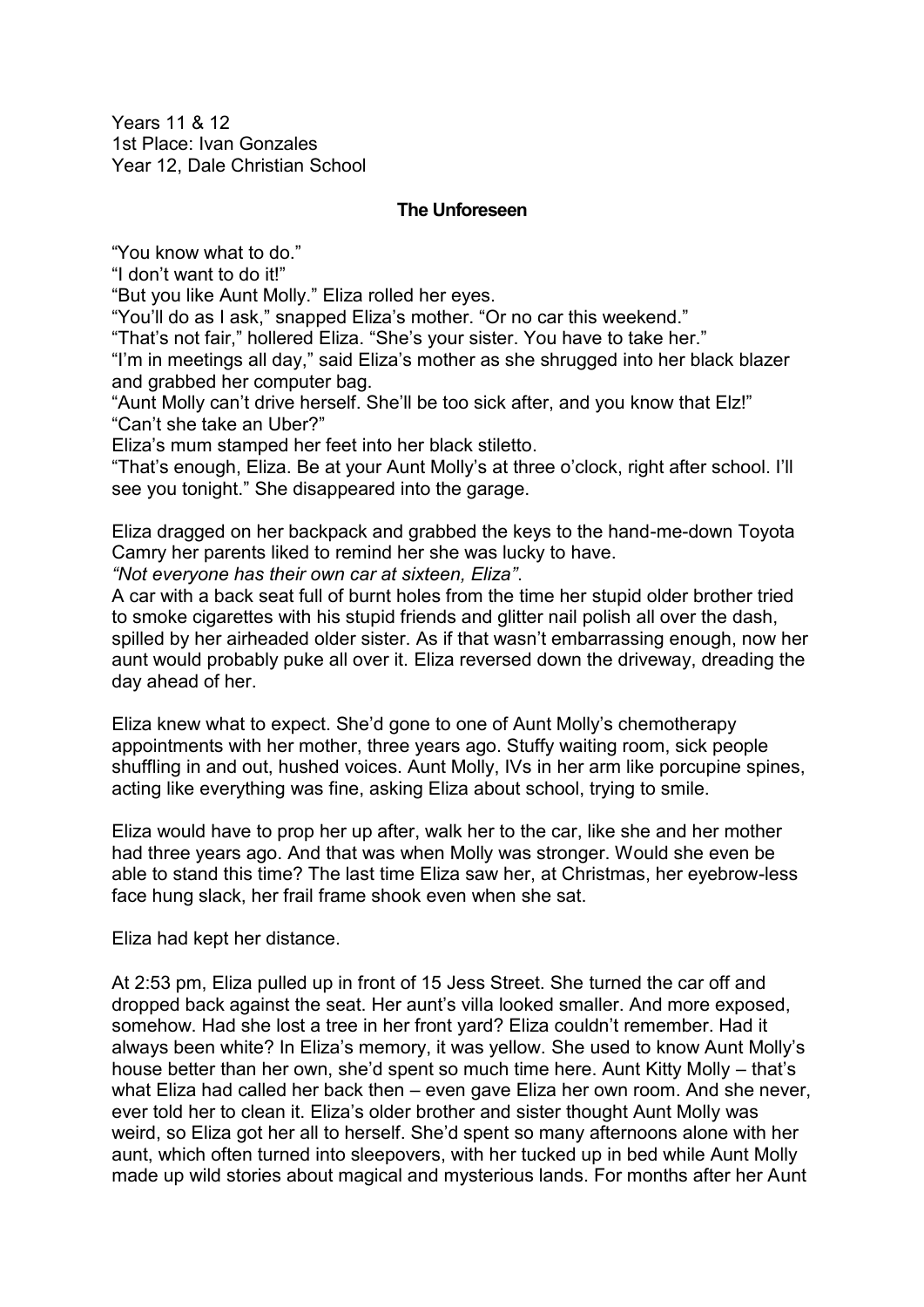Years 11 & 12 1st Place: Ivan Gonzales Year 12, Dale Christian School

## **The Unforeseen**

"You know what to do."

"I don't want to do it!"

"But you like Aunt Molly." Eliza rolled her eyes.

"You'll do as I ask," snapped Eliza's mother. "Or no car this weekend."

"That's not fair," hollered Eliza. "She's your sister. You have to take her."

"I'm in meetings all day," said Eliza's mother as she shrugged into her black blazer and grabbed her computer bag.

"Aunt Molly can't drive herself. She'll be too sick after, and you know that Elz!" "Can't she take an Uber?"

Eliza's mum stamped her feet into her black stiletto.

"That's enough, Eliza. Be at your Aunt Molly's at three o'clock, right after school. I'll see you tonight." She disappeared into the garage.

Eliza dragged on her backpack and grabbed the keys to the hand-me-down Toyota Camry her parents liked to remind her she was lucky to have.

*"Not everyone has their own car at sixteen, Eliza"*.

A car with a back seat full of burnt holes from the time her stupid older brother tried to smoke cigarettes with his stupid friends and glitter nail polish all over the dash, spilled by her airheaded older sister. As if that wasn't embarrassing enough, now her aunt would probably puke all over it. Eliza reversed down the driveway, dreading the day ahead of her.

Eliza knew what to expect. She'd gone to one of Aunt Molly's chemotherapy appointments with her mother, three years ago. Stuffy waiting room, sick people shuffling in and out, hushed voices. Aunt Molly, IVs in her arm like porcupine spines, acting like everything was fine, asking Eliza about school, trying to smile.

Eliza would have to prop her up after, walk her to the car, like she and her mother had three years ago. And that was when Molly was stronger. Would she even be able to stand this time? The last time Eliza saw her, at Christmas, her eyebrow-less face hung slack, her frail frame shook even when she sat.

Eliza had kept her distance.

At 2:53 pm, Eliza pulled up in front of 15 Jess Street. She turned the car off and dropped back against the seat. Her aunt's villa looked smaller. And more exposed, somehow. Had she lost a tree in her front yard? Eliza couldn't remember. Had it always been white? In Eliza's memory, it was yellow. She used to know Aunt Molly's house better than her own, she'd spent so much time here. Aunt Kitty Molly – that's what Eliza had called her back then – even gave Eliza her own room. And she never, ever told her to clean it. Eliza's older brother and sister thought Aunt Molly was weird, so Eliza got her all to herself. She'd spent so many afternoons alone with her aunt, which often turned into sleepovers, with her tucked up in bed while Aunt Molly made up wild stories about magical and mysterious lands. For months after her Aunt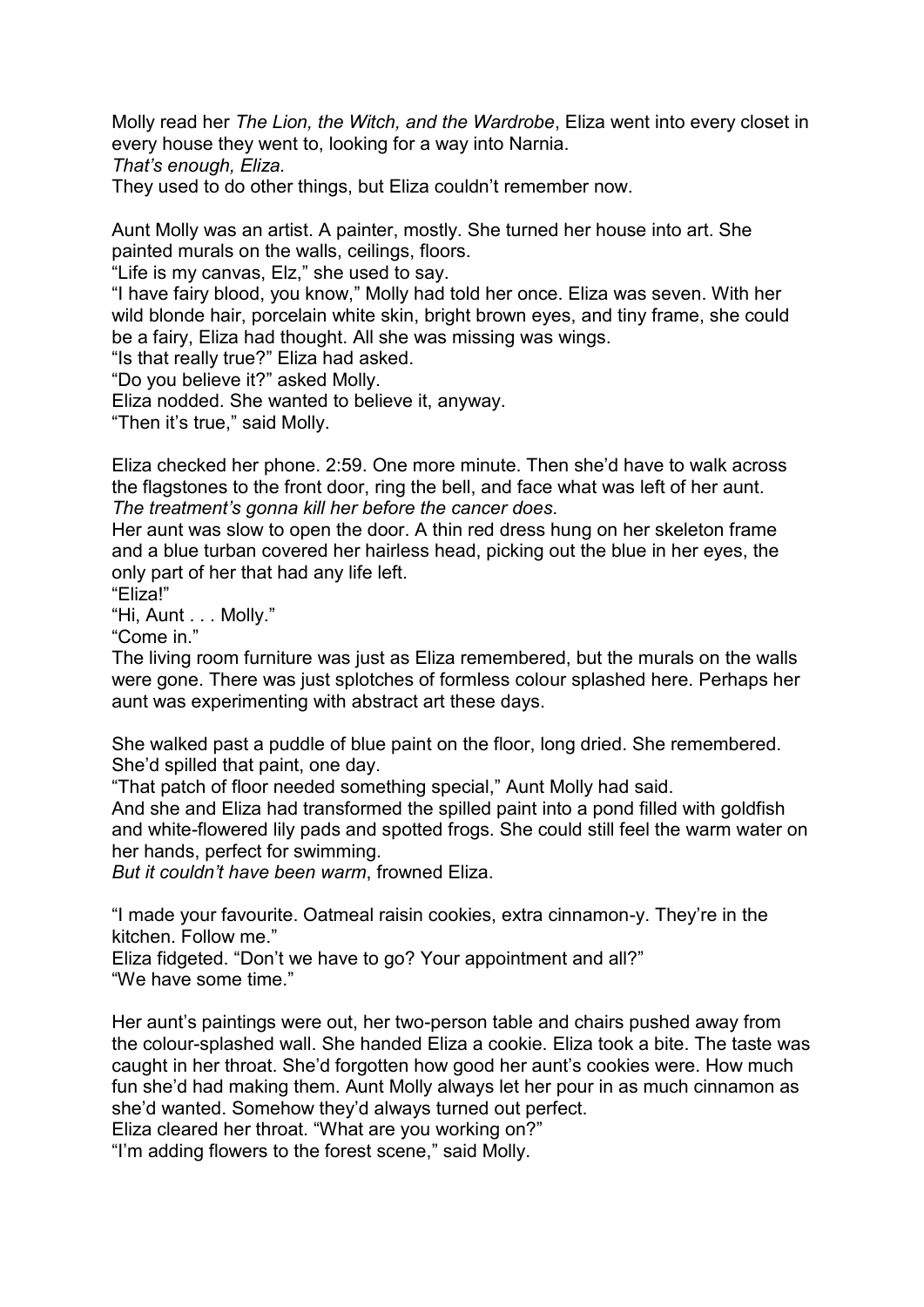Molly read her *The Lion, the Witch, and the Wardrobe*, Eliza went into every closet in every house they went to, looking for a way into Narnia.

*That's enough, Eliza.*

They used to do other things, but Eliza couldn't remember now.

Aunt Molly was an artist. A painter, mostly. She turned her house into art. She painted murals on the walls, ceilings, floors.

"Life is my canvas, Elz," she used to say.

"I have fairy blood, you know," Molly had told her once. Eliza was seven. With her wild blonde hair, porcelain white skin, bright brown eyes, and tiny frame, she could be a fairy, Eliza had thought. All she was missing was wings.

"Is that really true?" Eliza had asked.

"Do you believe it?" asked Molly.

Eliza nodded. She wanted to believe it, anyway.

"Then it's true," said Molly.

Eliza checked her phone. 2:59. One more minute. Then she'd have to walk across the flagstones to the front door, ring the bell, and face what was left of her aunt. *The treatment's gonna kill her before the cancer does.*

Her aunt was slow to open the door. A thin red dress hung on her skeleton frame and a blue turban covered her hairless head, picking out the blue in her eyes, the only part of her that had any life left.

"Eliza!"

"Hi, Aunt . . . Molly."

"Come in."

The living room furniture was just as Eliza remembered, but the murals on the walls were gone. There was just splotches of formless colour splashed here. Perhaps her aunt was experimenting with abstract art these days.

She walked past a puddle of blue paint on the floor, long dried. She remembered. She'd spilled that paint, one day.

"That patch of floor needed something special," Aunt Molly had said.

And she and Eliza had transformed the spilled paint into a pond filled with goldfish and white-flowered lily pads and spotted frogs. She could still feel the warm water on her hands, perfect for swimming.

*But it couldn't have been warm*, frowned Eliza.

"I made your favourite. Oatmeal raisin cookies, extra cinnamon-y. They're in the kitchen. Follow me."

Eliza fidgeted. "Don't we have to go? Your appointment and all?" "We have some time."

Her aunt's paintings were out, her two-person table and chairs pushed away from the colour-splashed wall. She handed Eliza a cookie. Eliza took a bite. The taste was caught in her throat. She'd forgotten how good her aunt's cookies were. How much fun she'd had making them. Aunt Molly always let her pour in as much cinnamon as she'd wanted. Somehow they'd always turned out perfect.

Eliza cleared her throat. "What are you working on?"

"I'm adding flowers to the forest scene," said Molly.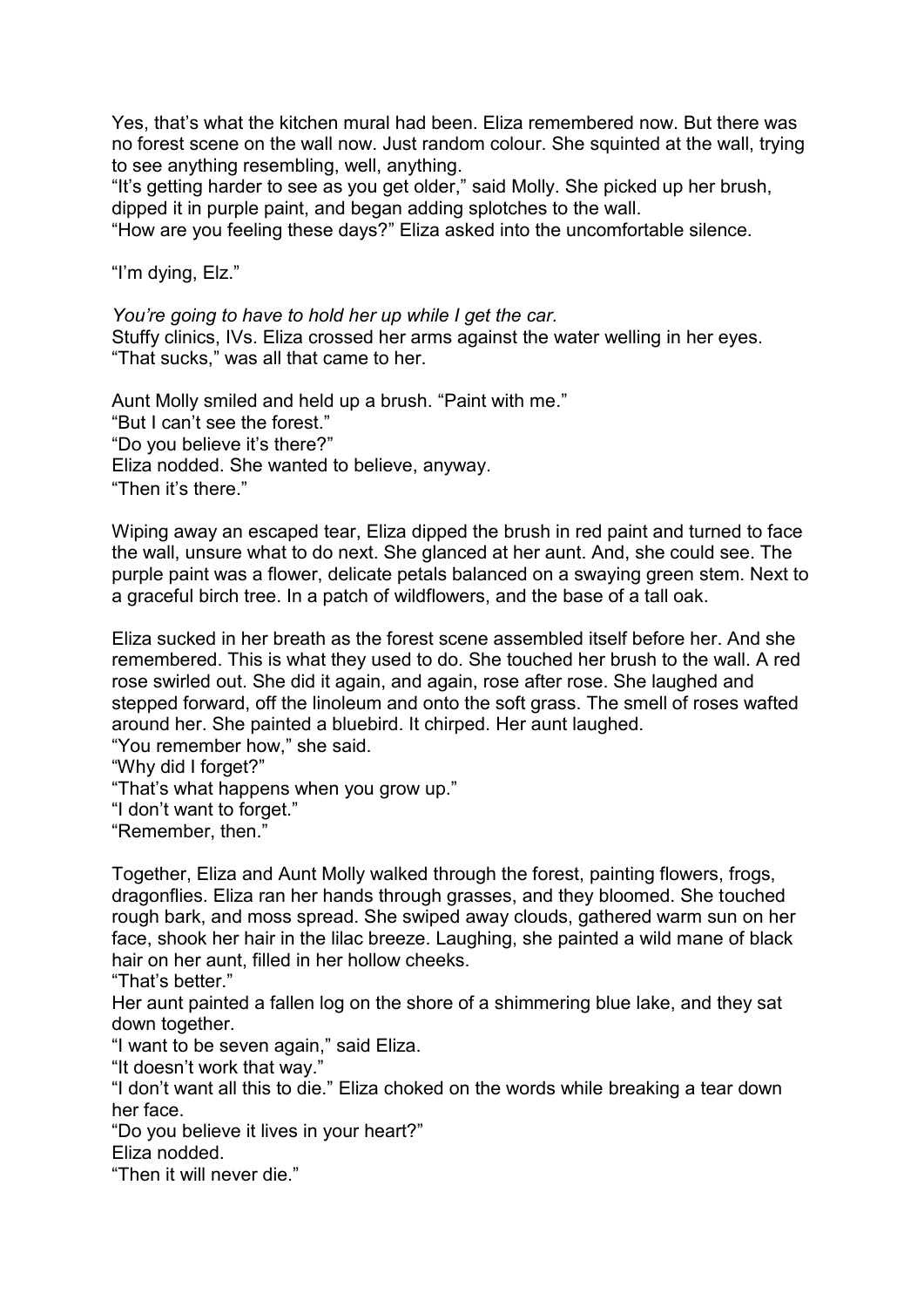Yes, that's what the kitchen mural had been. Eliza remembered now. But there was no forest scene on the wall now. Just random colour. She squinted at the wall, trying to see anything resembling, well, anything.

"It's getting harder to see as you get older," said Molly. She picked up her brush, dipped it in purple paint, and began adding splotches to the wall.

"How are you feeling these days?" Eliza asked into the uncomfortable silence.

"I'm dying, Elz."

*You're going to have to hold her up while I get the car.* 

Stuffy clinics, IVs. Eliza crossed her arms against the water welling in her eyes. "That sucks," was all that came to her.

Aunt Molly smiled and held up a brush. "Paint with me." "But I can't see the forest." "Do you believe it's there?" Eliza nodded. She wanted to believe, anyway. "Then it's there."

Wiping away an escaped tear, Eliza dipped the brush in red paint and turned to face the wall, unsure what to do next. She glanced at her aunt. And, she could see. The purple paint was a flower, delicate petals balanced on a swaying green stem. Next to a graceful birch tree. In a patch of wildflowers, and the base of a tall oak.

Eliza sucked in her breath as the forest scene assembled itself before her. And she remembered. This is what they used to do. She touched her brush to the wall. A red rose swirled out. She did it again, and again, rose after rose. She laughed and stepped forward, off the linoleum and onto the soft grass. The smell of roses wafted around her. She painted a bluebird. It chirped. Her aunt laughed.

"You remember how," she said.

"Why did I forget?"

"That's what happens when you grow up."

"I don't want to forget."

"Remember, then."

Together, Eliza and Aunt Molly walked through the forest, painting flowers, frogs, dragonflies. Eliza ran her hands through grasses, and they bloomed. She touched rough bark, and moss spread. She swiped away clouds, gathered warm sun on her face, shook her hair in the lilac breeze. Laughing, she painted a wild mane of black hair on her aunt, filled in her hollow cheeks.

"That's better"

Her aunt painted a fallen log on the shore of a shimmering blue lake, and they sat down together.

"I want to be seven again," said Eliza.

"It doesn't work that way."

"I don't want all this to die." Eliza choked on the words while breaking a tear down her face.

"Do you believe it lives in your heart?"

Eliza nodded.

"Then it will never die."